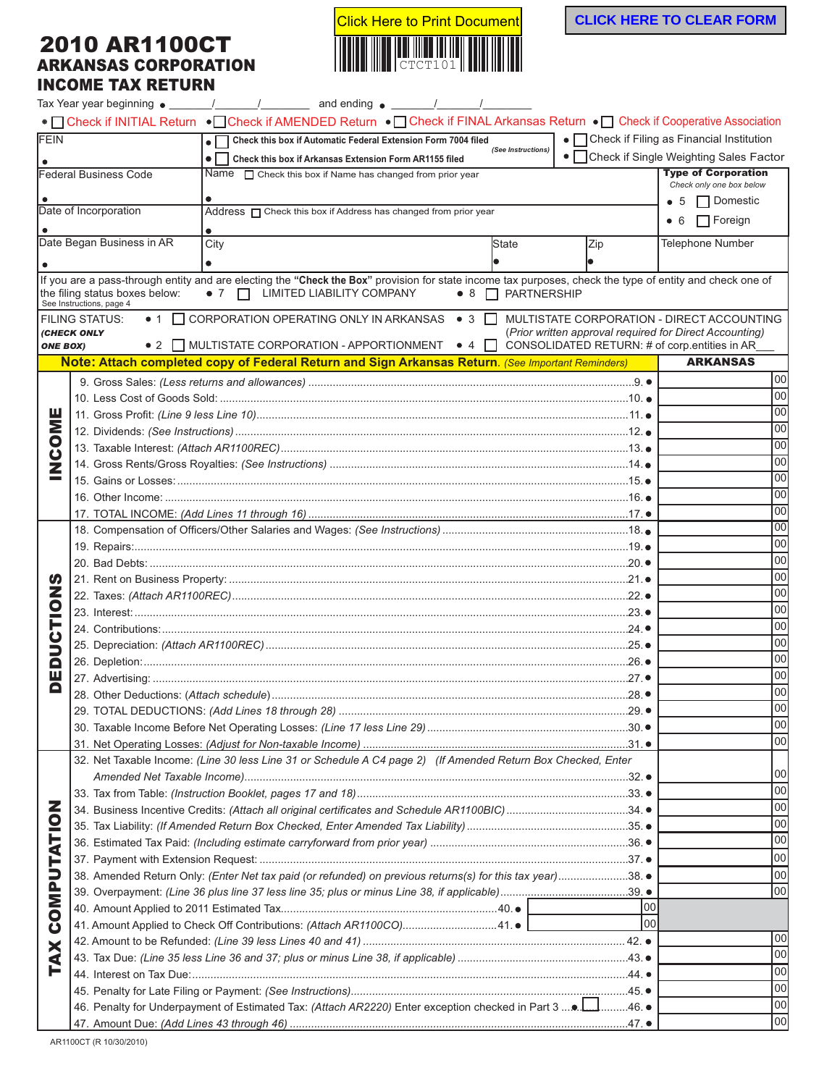## 2010 AR1100CT ARKANSAS CORPORATION INCOME TAX RETURN



|                                                                                       |                                                                                                              | • Check if INITIAL Return • Check if AMENDED Return • Check if FINAL Arkansas Return • Check if Cooperative Association                                  |                                |                                                         |                                            |  |
|---------------------------------------------------------------------------------------|--------------------------------------------------------------------------------------------------------------|----------------------------------------------------------------------------------------------------------------------------------------------------------|--------------------------------|---------------------------------------------------------|--------------------------------------------|--|
| <b>FEIN</b>                                                                           |                                                                                                              | Check this box if Automatic Federal Extension Form 7004 filed                                                                                            | (See Instructions)             |                                                         | • Check if Filing as Financial Institution |  |
|                                                                                       |                                                                                                              | $\bullet \Box$<br>Check this box if Arkansas Extension Form AR1155 filed                                                                                 |                                |                                                         | • Check if Single Weighting Sales Factor   |  |
|                                                                                       | Federal Business Code                                                                                        | Name $\Box$ Check this box if Name has changed from prior year                                                                                           |                                |                                                         | <b>Type of Corporation</b>                 |  |
|                                                                                       |                                                                                                              |                                                                                                                                                          |                                |                                                         | Check only one box below                   |  |
| Date of Incorporation<br>Address neck this box if Address has changed from prior year |                                                                                                              |                                                                                                                                                          |                                |                                                         | $\Box$ Domestic<br>$\bullet$ 5             |  |
|                                                                                       |                                                                                                              |                                                                                                                                                          |                                |                                                         | $\Box$ Foreign<br>• 6                      |  |
|                                                                                       | Date Began Business in AR                                                                                    | City                                                                                                                                                     | <b>State</b>                   | Zip                                                     | <b>Telephone Number</b>                    |  |
|                                                                                       |                                                                                                              |                                                                                                                                                          |                                |                                                         |                                            |  |
|                                                                                       |                                                                                                              | If you are a pass-through entity and are electing the "Check the Box" provision for state income tax purposes, check the type of entity and check one of |                                |                                                         |                                            |  |
|                                                                                       | the filing status boxes below:<br>See Instructions, page 4                                                   | $\bullet$ 7 $\Box$ LIMITED LIABILITY COMPANY                                                                                                             | $\bullet$ 8 $\Box$ PARTNERSHIP |                                                         |                                            |  |
|                                                                                       | <b>FILING STATUS:</b>                                                                                        | ● 1 □ CORPORATION OPERATING ONLY IN ARKANSAS ● 3 □                                                                                                       |                                |                                                         | MULTISTATE CORPORATION - DIRECT ACCOUNTING |  |
|                                                                                       | (CHECK ONLY                                                                                                  |                                                                                                                                                          |                                | (Prior written approval required for Direct Accounting) |                                            |  |
| <b>ONE BOX)</b>                                                                       |                                                                                                              | • 2 MULTISTATE CORPORATION - APPORTIONMENT • 4 $\Box$                                                                                                    |                                | CONSOLIDATED RETURN: # of corp.entities in AR           |                                            |  |
|                                                                                       |                                                                                                              | Note: Attach completed copy of Federal Return and Sign Arkansas Return. (See Important Reminders)                                                        |                                |                                                         | <b>ARKANSAS</b>                            |  |
|                                                                                       |                                                                                                              |                                                                                                                                                          |                                |                                                         | 100                                        |  |
|                                                                                       |                                                                                                              |                                                                                                                                                          |                                |                                                         | 00                                         |  |
| ש<br>∑                                                                                |                                                                                                              |                                                                                                                                                          |                                |                                                         | 100                                        |  |
|                                                                                       |                                                                                                              |                                                                                                                                                          |                                |                                                         | 100                                        |  |
| 8                                                                                     |                                                                                                              |                                                                                                                                                          |                                |                                                         | 100                                        |  |
|                                                                                       |                                                                                                              |                                                                                                                                                          |                                |                                                         | 100                                        |  |
| Ź                                                                                     |                                                                                                              |                                                                                                                                                          |                                |                                                         | 100                                        |  |
|                                                                                       |                                                                                                              |                                                                                                                                                          |                                |                                                         | 100                                        |  |
|                                                                                       |                                                                                                              |                                                                                                                                                          |                                |                                                         | 100                                        |  |
|                                                                                       |                                                                                                              |                                                                                                                                                          |                                |                                                         | 100                                        |  |
| ທ<br>z<br>$\overline{\mathbf{C}}$                                                     |                                                                                                              |                                                                                                                                                          |                                |                                                         | 100                                        |  |
|                                                                                       |                                                                                                              |                                                                                                                                                          |                                |                                                         | 100                                        |  |
|                                                                                       |                                                                                                              |                                                                                                                                                          |                                |                                                         | 100                                        |  |
|                                                                                       |                                                                                                              |                                                                                                                                                          |                                |                                                         | 100                                        |  |
|                                                                                       |                                                                                                              |                                                                                                                                                          |                                |                                                         | 100                                        |  |
|                                                                                       |                                                                                                              |                                                                                                                                                          |                                |                                                         | 100                                        |  |
| د،                                                                                    |                                                                                                              |                                                                                                                                                          |                                |                                                         | 100                                        |  |
| ς                                                                                     |                                                                                                              |                                                                                                                                                          |                                |                                                         | 100                                        |  |
| Q<br>щ                                                                                |                                                                                                              |                                                                                                                                                          |                                |                                                         | 00                                         |  |
| o                                                                                     |                                                                                                              |                                                                                                                                                          |                                |                                                         | 00                                         |  |
|                                                                                       |                                                                                                              |                                                                                                                                                          |                                |                                                         | 00                                         |  |
|                                                                                       |                                                                                                              |                                                                                                                                                          |                                |                                                         | 100                                        |  |
|                                                                                       |                                                                                                              |                                                                                                                                                          |                                |                                                         | 100                                        |  |
|                                                                                       | 32. Net Taxable Income: (Line 30 less Line 31 or Schedule A C4 page 2) (If Amended Return Box Checked, Enter |                                                                                                                                                          |                                |                                                         |                                            |  |
|                                                                                       | 100                                                                                                          |                                                                                                                                                          |                                |                                                         |                                            |  |
|                                                                                       |                                                                                                              |                                                                                                                                                          |                                |                                                         | 100                                        |  |
|                                                                                       |                                                                                                              | 34. Business Incentive Credits: (Attach all original certificates and Schedule AR1100BIC)34.                                                             |                                |                                                         | 100                                        |  |
|                                                                                       |                                                                                                              |                                                                                                                                                          |                                |                                                         | 100                                        |  |
|                                                                                       |                                                                                                              |                                                                                                                                                          |                                |                                                         | 100                                        |  |
|                                                                                       |                                                                                                              |                                                                                                                                                          |                                |                                                         | loo                                        |  |
|                                                                                       |                                                                                                              | 38. Amended Return Only: (Enter Net tax paid (or refunded) on previous returns(s) for this tax year)38. .                                                |                                |                                                         | loo                                        |  |
|                                                                                       |                                                                                                              |                                                                                                                                                          |                                |                                                         | Too                                        |  |
| OMPUTATION<br>Ŏ<br>XAX<br>F                                                           |                                                                                                              |                                                                                                                                                          |                                | 00                                                      |                                            |  |
|                                                                                       |                                                                                                              | 41. Amount Applied to Check Off Contributions: (Attach AR1100CO)41. .                                                                                    |                                | 00                                                      |                                            |  |
|                                                                                       |                                                                                                              |                                                                                                                                                          |                                |                                                         | 00                                         |  |
|                                                                                       |                                                                                                              |                                                                                                                                                          |                                |                                                         | 00                                         |  |
|                                                                                       |                                                                                                              |                                                                                                                                                          |                                |                                                         | 100                                        |  |
|                                                                                       |                                                                                                              |                                                                                                                                                          |                                |                                                         | 100                                        |  |
|                                                                                       |                                                                                                              | 46. Penalty for Underpayment of Estimated Tax: (Attach AR2220) Enter exception checked in Part 3 46. .                                                   |                                |                                                         | 00                                         |  |
|                                                                                       |                                                                                                              |                                                                                                                                                          |                                |                                                         | 00                                         |  |
|                                                                                       |                                                                                                              |                                                                                                                                                          |                                |                                                         |                                            |  |

AR1100CT (R 10/30/2010)